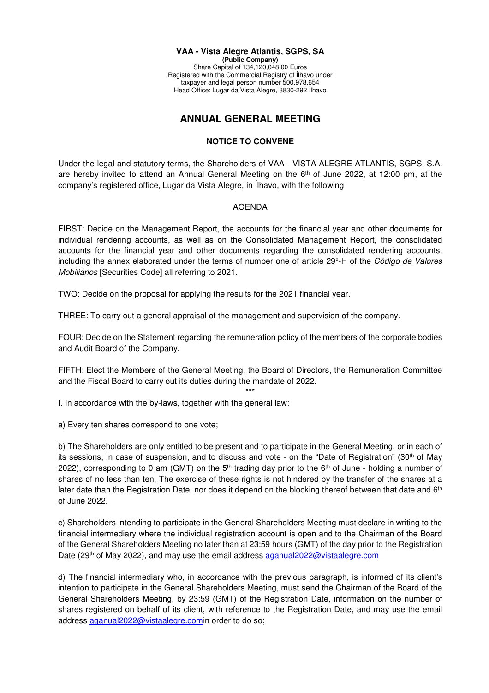## **VAA - Vista Alegre Atlantis, SGPS, SA (Public Company)**

Share Capital of 134,120,048.00 Euros Registered with the Commercial Registry of Ílhavo under taxpayer and legal person number 500.978.654 Head Office: Lugar da Vista Alegre, 3830-292 Ílhavo

## **ANNUAL GENERAL MEETING**

## **NOTICE TO CONVENE**

Under the legal and statutory terms, the Shareholders of VAA - VISTA ALEGRE ATLANTIS, SGPS, S.A. are hereby invited to attend an Annual General Meeting on the 6<sup>th</sup> of June 2022, at 12:00 pm, at the company's registered office, Lugar da Vista Alegre, in Ílhavo, with the following

## AGENDA

FIRST: Decide on the Management Report, the accounts for the financial year and other documents for individual rendering accounts, as well as on the Consolidated Management Report, the consolidated accounts for the financial year and other documents regarding the consolidated rendering accounts, including the annex elaborated under the terms of number one of article 29º-H of the Código de Valores Mobiliários [Securities Code] all referring to 2021.

TWO: Decide on the proposal for applying the results for the 2021 financial year.

THREE: To carry out a general appraisal of the management and supervision of the company.

FOUR: Decide on the Statement regarding the remuneration policy of the members of the corporate bodies and Audit Board of the Company.

FIFTH: Elect the Members of the General Meeting, the Board of Directors, the Remuneration Committee and the Fiscal Board to carry out its duties during the mandate of 2022.

\*\*\*

I. In accordance with the by-laws, together with the general law:

a) Every ten shares correspond to one vote;

b) The Shareholders are only entitled to be present and to participate in the General Meeting, or in each of its sessions, in case of suspension, and to discuss and vote - on the "Date of Registration" (30th of May 2022), corresponding to 0 am (GMT) on the  $5<sup>th</sup>$  trading day prior to the  $6<sup>th</sup>$  of June - holding a number of shares of no less than ten. The exercise of these rights is not hindered by the transfer of the shares at a later date than the Registration Date, nor does it depend on the blocking thereof between that date and 6<sup>th</sup> of June 2022.

c) Shareholders intending to participate in the General Shareholders Meeting must declare in writing to the financial intermediary where the individual registration account is open and to the Chairman of the Board of the General Shareholders Meeting no later than at 23:59 hours (GMT) of the day prior to the Registration Date (29<sup>th</sup> of May 2022), and may use the email address aganual2022@vistaalegre.com

d) The financial intermediary who, in accordance with the previous paragraph, is informed of its client's intention to participate in the General Shareholders Meeting, must send the Chairman of the Board of the General Shareholders Meeting, by 23:59 (GMT) of the Registration Date, information on the number of shares registered on behalf of its client, with reference to the Registration Date, and may use the email address aganual2022@vistaalegre.comin order to do so;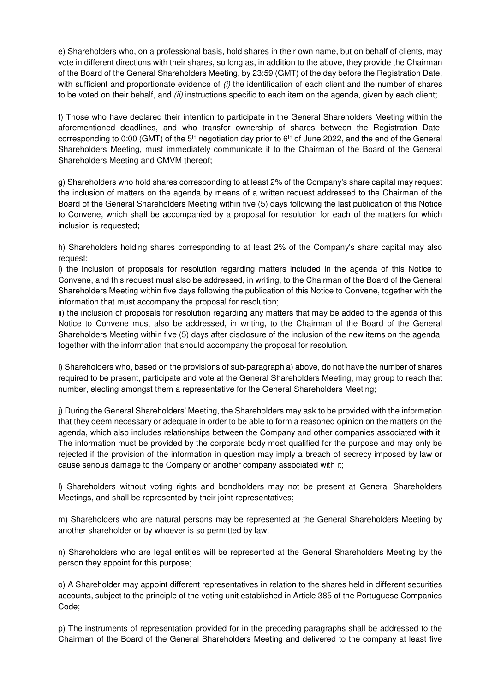e) Shareholders who, on a professional basis, hold shares in their own name, but on behalf of clients, may vote in different directions with their shares, so long as, in addition to the above, they provide the Chairman of the Board of the General Shareholders Meeting, by 23:59 (GMT) of the day before the Registration Date, with sufficient and proportionate evidence of (i) the identification of each client and the number of shares to be voted on their behalf, and *(ii)* instructions specific to each item on the agenda, given by each client;

f) Those who have declared their intention to participate in the General Shareholders Meeting within the aforementioned deadlines, and who transfer ownership of shares between the Registration Date, corresponding to 0:00 (GMT) of the  $5<sup>th</sup>$  negotiation day prior to  $6<sup>th</sup>$  of June 2022, and the end of the General Shareholders Meeting, must immediately communicate it to the Chairman of the Board of the General Shareholders Meeting and CMVM thereof;

g) Shareholders who hold shares corresponding to at least 2% of the Company's share capital may request the inclusion of matters on the agenda by means of a written request addressed to the Chairman of the Board of the General Shareholders Meeting within five (5) days following the last publication of this Notice to Convene, which shall be accompanied by a proposal for resolution for each of the matters for which inclusion is requested;

h) Shareholders holding shares corresponding to at least 2% of the Company's share capital may also request:

i) the inclusion of proposals for resolution regarding matters included in the agenda of this Notice to Convene, and this request must also be addressed, in writing, to the Chairman of the Board of the General Shareholders Meeting within five days following the publication of this Notice to Convene, together with the information that must accompany the proposal for resolution;

ii) the inclusion of proposals for resolution regarding any matters that may be added to the agenda of this Notice to Convene must also be addressed, in writing, to the Chairman of the Board of the General Shareholders Meeting within five (5) days after disclosure of the inclusion of the new items on the agenda, together with the information that should accompany the proposal for resolution.

i) Shareholders who, based on the provisions of sub-paragraph a) above, do not have the number of shares required to be present, participate and vote at the General Shareholders Meeting, may group to reach that number, electing amongst them a representative for the General Shareholders Meeting;

j) During the General Shareholders' Meeting, the Shareholders may ask to be provided with the information that they deem necessary or adequate in order to be able to form a reasoned opinion on the matters on the agenda, which also includes relationships between the Company and other companies associated with it. The information must be provided by the corporate body most qualified for the purpose and may only be rejected if the provision of the information in question may imply a breach of secrecy imposed by law or cause serious damage to the Company or another company associated with it;

l) Shareholders without voting rights and bondholders may not be present at General Shareholders Meetings, and shall be represented by their joint representatives;

m) Shareholders who are natural persons may be represented at the General Shareholders Meeting by another shareholder or by whoever is so permitted by law;

n) Shareholders who are legal entities will be represented at the General Shareholders Meeting by the person they appoint for this purpose;

o) A Shareholder may appoint different representatives in relation to the shares held in different securities accounts, subject to the principle of the voting unit established in Article 385 of the Portuguese Companies Code;

p) The instruments of representation provided for in the preceding paragraphs shall be addressed to the Chairman of the Board of the General Shareholders Meeting and delivered to the company at least five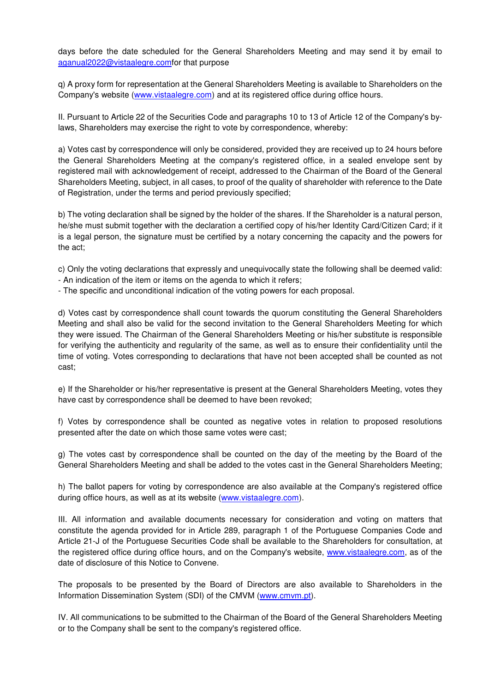days before the date scheduled for the General Shareholders Meeting and may send it by email to aganual2022@vistaalegre.comfor that purpose

q) A proxy form for representation at the General Shareholders Meeting is available to Shareholders on the Company's website (www.vistaalegre.com) and at its registered office during office hours.

II. Pursuant to Article 22 of the Securities Code and paragraphs 10 to 13 of Article 12 of the Company's bylaws, Shareholders may exercise the right to vote by correspondence, whereby:

a) Votes cast by correspondence will only be considered, provided they are received up to 24 hours before the General Shareholders Meeting at the company's registered office, in a sealed envelope sent by registered mail with acknowledgement of receipt, addressed to the Chairman of the Board of the General Shareholders Meeting, subject, in all cases, to proof of the quality of shareholder with reference to the Date of Registration, under the terms and period previously specified;

b) The voting declaration shall be signed by the holder of the shares. If the Shareholder is a natural person, he/she must submit together with the declaration a certified copy of his/her Identity Card/Citizen Card; if it is a legal person, the signature must be certified by a notary concerning the capacity and the powers for the act;

c) Only the voting declarations that expressly and unequivocally state the following shall be deemed valid:

- An indication of the item or items on the agenda to which it refers;
- The specific and unconditional indication of the voting powers for each proposal.

d) Votes cast by correspondence shall count towards the quorum constituting the General Shareholders Meeting and shall also be valid for the second invitation to the General Shareholders Meeting for which they were issued. The Chairman of the General Shareholders Meeting or his/her substitute is responsible for verifying the authenticity and regularity of the same, as well as to ensure their confidentiality until the time of voting. Votes corresponding to declarations that have not been accepted shall be counted as not cast;

e) If the Shareholder or his/her representative is present at the General Shareholders Meeting, votes they have cast by correspondence shall be deemed to have been revoked;

f) Votes by correspondence shall be counted as negative votes in relation to proposed resolutions presented after the date on which those same votes were cast;

g) The votes cast by correspondence shall be counted on the day of the meeting by the Board of the General Shareholders Meeting and shall be added to the votes cast in the General Shareholders Meeting;

h) The ballot papers for voting by correspondence are also available at the Company's registered office during office hours, as well as at its website (www.vistaalegre.com).

III. All information and available documents necessary for consideration and voting on matters that constitute the agenda provided for in Article 289, paragraph 1 of the Portuguese Companies Code and Article 21-J of the Portuguese Securities Code shall be available to the Shareholders for consultation, at the registered office during office hours, and on the Company's website, www.vistaalegre.com, as of the date of disclosure of this Notice to Convene.

The proposals to be presented by the Board of Directors are also available to Shareholders in the Information Dissemination System (SDI) of the CMVM (www.cmvm.pt).

IV. All communications to be submitted to the Chairman of the Board of the General Shareholders Meeting or to the Company shall be sent to the company's registered office.